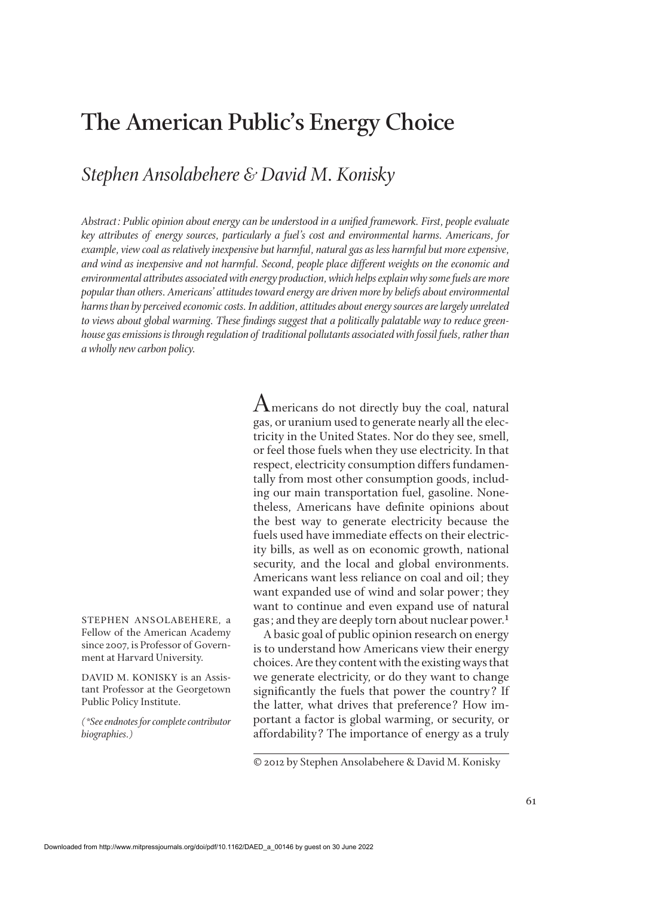## **The American Public's Energy Choice**

*Stephen Ansolabehere & David M. Konisky*

Abstract: Public opinion about energy can be understood in a unified framework. First, people evaluate *key attributes of energy sources, particularly a fuel's cost and environmental harms. Americans, for example, view coal as relatively inexpensive but harmful, natural gas as less harmful but more expensive, and wind as inexpensive and not harmful. Second, people place different weights on the economic and environmental attributes associated with energy production, which helps explain why some fuels are more popular than others. Americans' attitudes toward energy are driven more by beliefs about environmental harms than by perceived economic costs. In addition, attitudes about energy sources are largely unrelated* to views about global warming. These findings suggest that a politically palatable way to reduce green*house gas emissions is through regulation of traditional pollutants associated with fossil fuels, rather than a wholly new carbon policy.*

STEPHEN ANSOLABEHERE, a Fellow of the American Academy since 2007, is Professor of Government at Harvard University.

DAVID M. KONISKY is an Assistant Professor at the Georgetown Public Policy Institute.

*(\*See endnotes for complete contributor biographies.)*

 $\rm A$ mericans do not directly buy the coal, natural gas, or uranium used to generate nearly all the electricity in the United States. Nor do they see, smell, or feel those fuels when they use electricity. In that respect, electricity consumption differs fundamentally from most other consumption goods, including our main transportation fuel, gasoline. Nonetheless, Americans have definite opinions about the best way to generate electricity because the fuels used have immediate effects on their electricity bills, as well as on economic growth, national security, and the local and global environments. Americans want less reliance on coal and oil; they want expanded use of wind and solar power; they want to continue and even expand use of natural gas; and they are deeply torn about nuclear power.1

A basic goal of public opinion research on energy is to understand how Americans view their energy choices. Are they content with the existing ways that we generate electricity, or do they want to change significantly the fuels that power the country? If the latter, what drives that preference? How important a factor is global warming, or security, or affordability? The importance of energy as a truly

© 2012 by Stephen Ansolabehere & David M. Konisky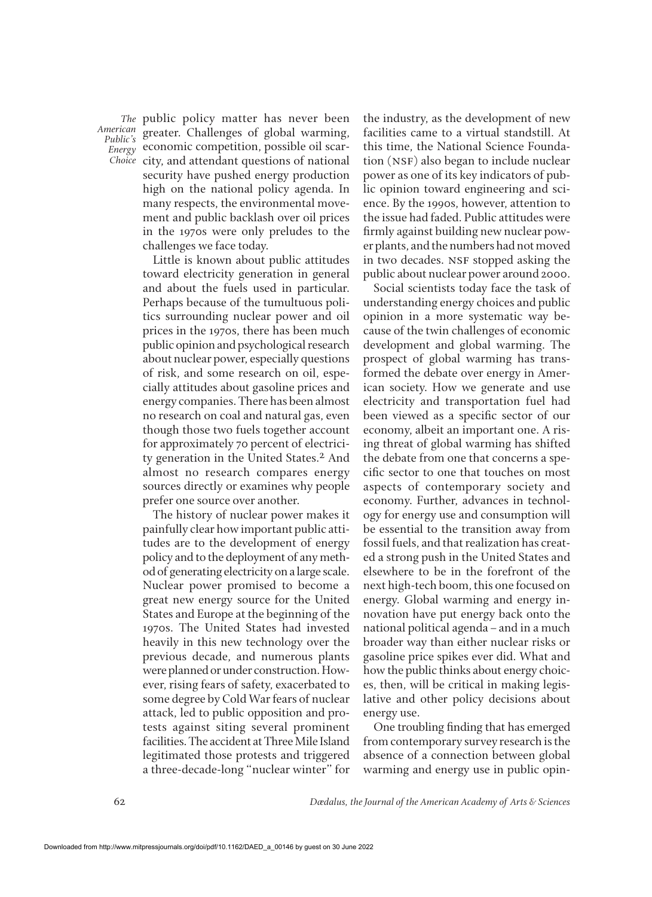*Public's*

public policy matter has never been *The* greater. Challenges of global warming, *American* economic competition, possible oil scar-*Energy* Choice city, and attendant questions of national security have pushed energy production high on the national policy agenda. In many respects, the environmental movement and public backlash over oil prices in the 1970s were only preludes to the challenges we face today.

> Little is known about public attitudes toward electricity generation in general and about the fuels used in particular. Perhaps because of the tumultuous politics surrounding nuclear power and oil prices in the 1970s, there has been much public opinion and psychological research about nuclear power, especially questions of risk, and some research on oil, especially attitudes about gasoline prices and energy companies. There has been almost no research on coal and natural gas, even though those two fuels together account for approximately 70 percent of electricity generation in the United States.<sup>2</sup> And almost no research compares energy sources directly or examines why people prefer one source over another.

> The history of nuclear power makes it painfully clear how important public attitudes are to the development of energy policy and to the deployment of any method of generating electricity on a large scale. Nuclear power promised to become a great new energy source for the United States and Europe at the beginning of the 1970s. The United States had invested heavily in this new technology over the previous decade, and numerous plants were planned or under construction. However, rising fears of safety, exacerbated to some degree by Cold War fears of nuclear attack, led to public opposition and protests against siting several prominent facilities. The accident at Three Mile Island legitimated those protests and triggered a three-decade-long "nuclear winter" for

the industry, as the development of new facilities came to a virtual standstill. At this time, the National Science Foundation (NSF) also began to include nuclear power as one of its key indicators of public opinion toward engineering and science. By the 1990s, however, attention to the issue had faded. Public attitudes were firmly against building new nuclear power plants, and the numbers had not moved in two decades. NSF stopped asking the public about nuclear power around 2000.

Social scientists today face the task of understanding energy choices and public opinion in a more systematic way because of the twin challenges of economic development and global warming. The prospect of global warming has transformed the debate over energy in American society. How we generate and use electricity and transportation fuel had been viewed as a specific sector of our economy, albeit an important one. A rising threat of global warming has shifted the debate from one that concerns a specific sector to one that touches on most aspects of contemporary society and economy. Further, advances in technology for energy use and consumption will be essential to the transition away from fossil fuels, and that realization has created a strong push in the United States and elsewhere to be in the forefront of the next high-tech boom, this one focused on energy. Global warming and energy innovation have put energy back onto the national political agenda–and in a much broader way than either nuclear risks or gasoline price spikes ever did. What and how the public thinks about energy choices, then, will be critical in making legislative and other policy decisions about energy use.

One troubling finding that has emerged from contemporary survey research is the absence of a connection between global warming and energy use in public opin-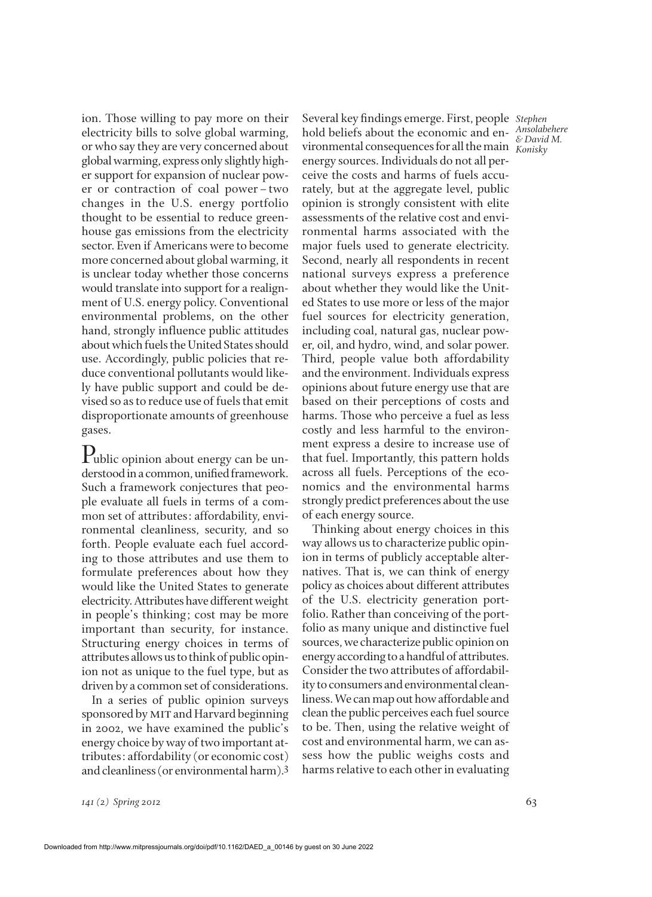ion. Those willing to pay more on their electricity bills to solve global warming, or who say they are very concerned about global warming, express only slightly higher support for expansion of nuclear power or contraction of coal power–two changes in the U.S. energy portfolio thought to be essential to reduce greenhouse gas emissions from the electricity sector. Even if Americans were to become more concerned about global warming, it is unclear today whether those concerns would translate into support for a realignment of U.S. energy policy. Conventional environmental problems, on the other hand, strongly influence public attitudes about which fuels the United States should use. Accordingly, public policies that reduce conventional pollutants would likely have public support and could be devised so as to reduce use of fuels that emit disproportionate amounts of greenhouse gases.

 $\rm{P}_{\rm{ublic}}$  opinion about energy can be understood in a common, unified framework. Such a framework conjectures that people evaluate all fuels in terms of a common set of attributes: affordability, environmental cleanliness, security, and so forth. People evaluate each fuel according to those attributes and use them to formulate preferences about how they would like the United States to generate electricity. Attributes have different weight in people's thinking; cost may be more important than security, for instance. Structuring energy choices in terms of attributes allows us to think of public opinion not as unique to the fuel type, but as driven by a common set of considerations.

In a series of public opinion surveys sponsored by MIT and Harvard beginning in 2002, we have examined the public's energy choice by way of two important attributes: affordability (or economic cost) and cleanliness (or environmental harm).3 Several key findings emerge. First, people Stephen hold beliefs about the economic and en-*Ansolabehere* vironmental consequences for all the main *Konisky* energy sources. Individuals do not all perceive the costs and harms of fuels accurately, but at the aggregate level, public opinion is strongly consistent with elite assessments of the relative cost and environmental harms associated with the major fuels used to generate electricity. Second, nearly all respondents in recent national surveys express a preference about whether they would like the United States to use more or less of the major fuel sources for electricity generation, including coal, natural gas, nuclear power, oil, and hydro, wind, and solar power. Third, people value both affordability and the environment. Individuals express opinions about future energy use that are based on their perceptions of costs and harms. Those who perceive a fuel as less costly and less harmful to the environment express a desire to increase use of that fuel. Importantly, this pattern holds across all fuels. Perceptions of the economics and the environmental harms strongly predict preferences about the use of each energy source.

Thinking about energy choices in this way allows us to characterize public opinion in terms of publicly acceptable alternatives. That is, we can think of energy policy as choices about different attributes of the U.S. electricity generation portfolio. Rather than conceiving of the portfolio as many unique and distinctive fuel sources, we characterize public opinion on energy according to a handful of attributes. Consider the two attributes of affordability to consumers and environmental cleanliness. We can map out how affordable and clean the public perceives each fuel source to be. Then, using the relative weight of cost and environmental harm, we can assess how the public weighs costs and harms relative to each other in evaluating

*& David M.*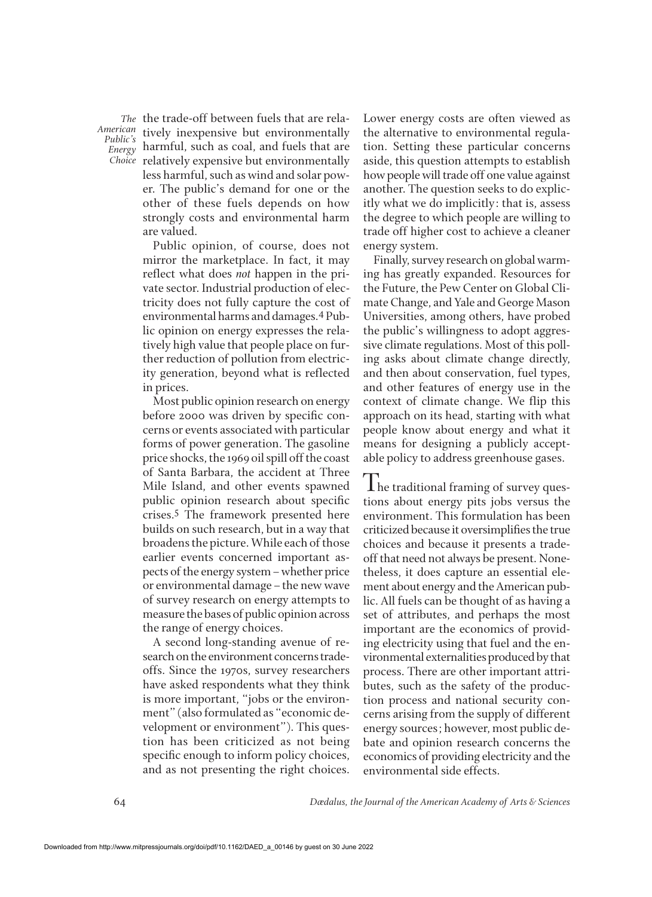*Public's*

the trade-off between fuels that are rela-*The* tively inexpensive but environmentally *American* harmful, such as coal, and fuels that are *Energy* Choice relatively expensive but environmentally less harmful, such as wind and solar power. The public's demand for one or the other of these fuels depends on how strongly costs and environmental harm are valued.

> Public opinion, of course, does not mirror the marketplace. In fact, it may reflect what does *not* happen in the private sector. Industrial production of electricity does not fully capture the cost of environmental harms and damages.4 Public opinion on energy expresses the relatively high value that people place on further reduction of pollution from electricity generation, beyond what is reflected in prices.

> Most public opinion research on energy before 2000 was driven by specific concerns or events associated with particular forms of power generation. The gasoline price shocks, the 1969 oil spill off the coast of Santa Barbara, the accident at Three Mile Island, and other events spawned public opinion research about specific crises.5 The framework presented here builds on such research, but in a way that broadens the picture. While each of those earlier events concerned important aspects of the energy system–whether price or environmental damage–the new wave of survey research on energy attempts to measure the bases of public opinion across the range of energy choices.

> A second long-standing avenue of research on the environment concerns tradeoffs. Since the 1970s, survey researchers have asked respondents what they think is more important, "jobs or the environment" (also formulated as "economic development or environment"). This question has been criticized as not being specific enough to inform policy choices, and as not presenting the right choices.

Lower energy costs are often viewed as the alternative to environmental regulation. Setting these particular concerns aside, this question attempts to establish how people will trade off one value against another. The question seeks to do explicitly what we do implicitly: that is, assess the degree to which people are willing to trade off higher cost to achieve a cleaner energy system.

Finally, survey research on global warming has greatly expanded. Resources for the Future, the Pew Center on Global Climate Change, and Yale and George Mason Universities, among others, have probed the public's willingness to adopt aggressive climate regulations. Most of this polling asks about climate change directly, and then about conservation, fuel types, and other features of energy use in the context of climate change. We flip this approach on its head, starting with what people know about energy and what it means for designing a publicly acceptable policy to address greenhouse gases.

**The traditional framing of survey ques**tions about energy pits jobs versus the environment. This formulation has been criticized because it oversimplifies the true choices and because it presents a tradeoff that need not always be present. Nonetheless, it does capture an essential element about energy and the American public. All fuels can be thought of as having a set of attributes, and perhaps the most important are the economics of providing electricity using that fuel and the environmental externalities produced by that process. There are other important attributes, such as the safety of the production process and national security concerns arising from the supply of different energy sources; however, most public debate and opinion research concerns the economics of providing electricity and the environmental side effects.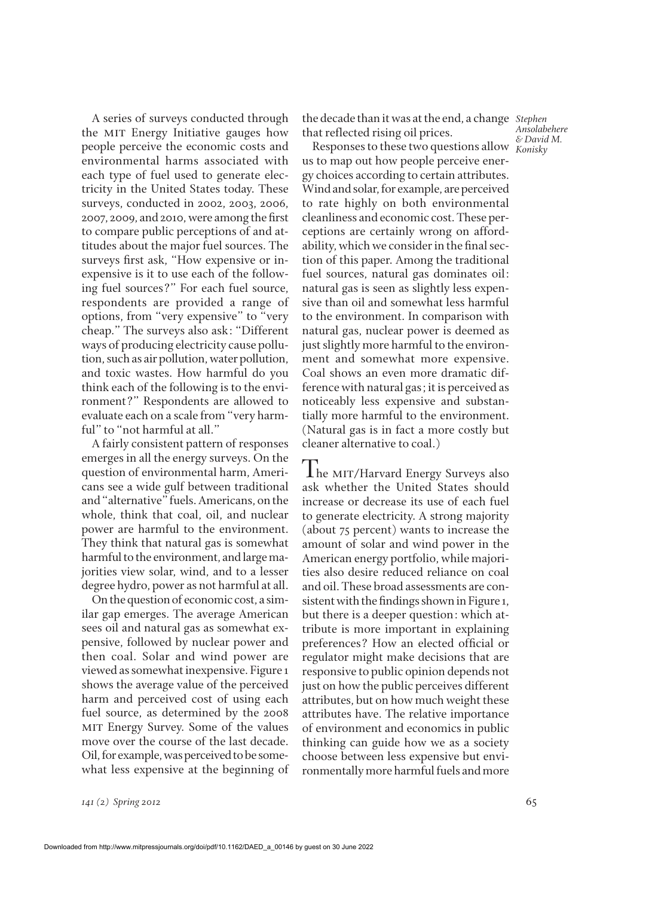A series of surveys conducted through the MIT Energy Initiative gauges how people perceive the economic costs and environmental harms associated with each type of fuel used to generate electricity in the United States today. These surveys, conducted in 2002, 2003, 2006,  $2007, 2009,$  and  $2010$ , were among the first to compare public perceptions of and attitudes about the major fuel sources. The surveys first ask, "How expensive or inexpensive is it to use each of the following fuel sources?" For each fuel source, respondents are provided a range of options, from "very expensive" to "very cheap." The surveys also ask: "Different ways of producing electricity cause pollution, such as air pollution, water pollution, and toxic wastes. How harmful do you think each of the following is to the environment?" Respondents are allowed to evaluate each on a scale from "very harmful" to "not harmful at all."

A fairly consistent pattern of responses emerges in all the energy surveys. On the question of environmental harm, Americans see a wide gulf between traditional and "alternative" fuels. Americans, on the whole, think that coal, oil, and nuclear power are harmful to the environment. They think that natural gas is somewhat harmful to the environment, and large majorities view solar, wind, and to a lesser degree hydro, power as not harmful at all.

On the question of economic cost, a similar gap emerges. The average American sees oil and natural gas as somewhat expensive, followed by nuclear power and then coal. Solar and wind power are viewed as somewhat inexpensive. Figure 1 shows the average value of the perceived harm and perceived cost of using each fuel source, as determined by the 2008 MIT Energy Survey. Some of the values move over the course of the last decade. Oil, for example, was perceived to be somewhat less expensive at the beginning of the decade than it was at the end, a change *Stephen* that reflected rising oil prices.

Responses to these two questions allow *Konisky* us to map out how people perceive energy choices according to certain attributes. Wind and solar, for example, are perceived to rate highly on both environmental cleanliness and economic cost. These perceptions are certainly wrong on affordability, which we consider in the final section of this paper. Among the traditional fuel sources, natural gas dominates oil: natural gas is seen as slightly less expensive than oil and somewhat less harmful to the environment. In comparison with natural gas, nuclear power is deemed as just slightly more harmful to the environment and somewhat more expensive. Coal shows an even more dramatic difference with natural gas; it is perceived as noticeably less expensive and substantially more harmful to the environment. (Natural gas is in fact a more costly but cleaner alternative to coal.)

The MIT/Harvard Energy Surveys also ask whether the United States should increase or decrease its use of each fuel to generate electricity. A strong majority (about 75 percent) wants to increase the amount of solar and wind power in the American energy portfolio, while majorities also desire reduced reliance on coal and oil. These broad assessments are consistent with the findings shown in Figure 1, but there is a deeper question: which attribute is more important in explaining preferences? How an elected official or regulator might make decisions that are responsive to public opinion depends not just on how the public perceives different attributes, but on how much weight these attributes have. The relative importance of environment and economics in public thinking can guide how we as a society choose between less expensive but environmentally more harmful fuels and more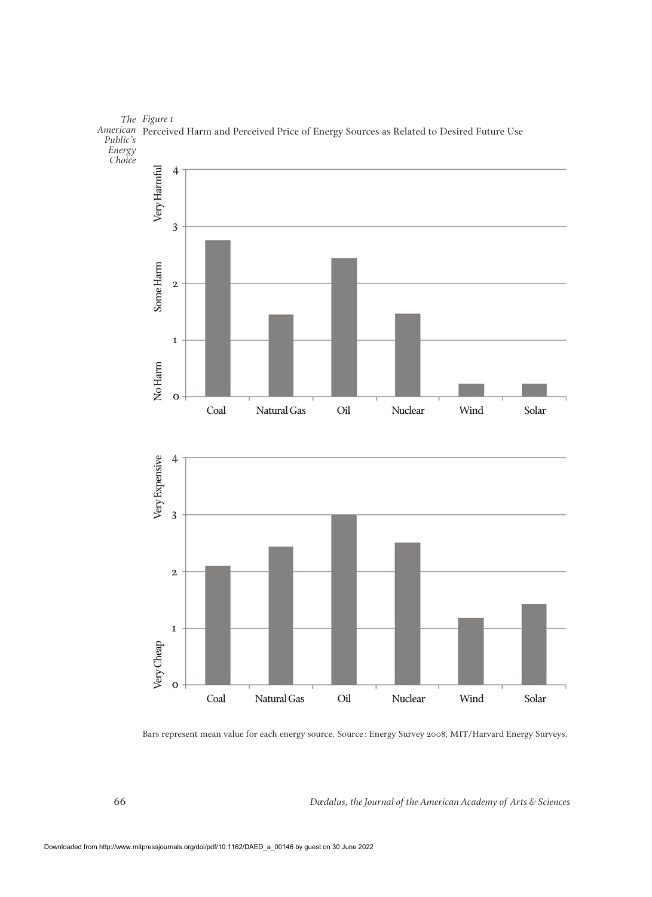

Bars represent mean value for each energy source. Source: Energy Survey 2008, mit/Harvard Energy Surveys.

*Dædalus, the Journal of the American Academy of Arts & Sciences*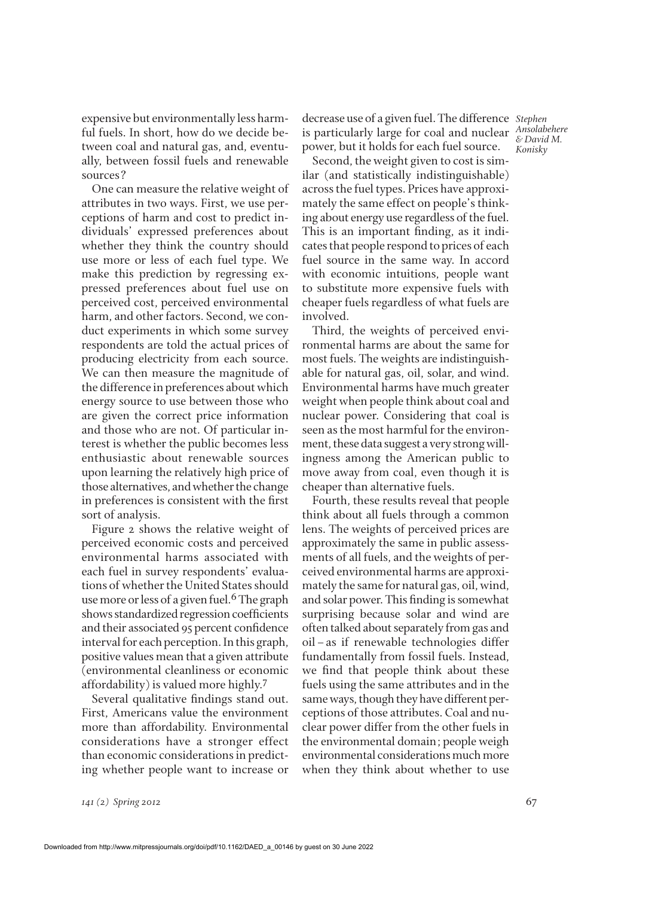expensive but environmentally less harmful fuels. In short, how do we decide between coal and natural gas, and, eventually, between fossil fuels and renewable sources?

One can measure the relative weight of attributes in two ways. First, we use perceptions of harm and cost to predict individuals' expressed preferences about whether they think the country should use more or less of each fuel type. We make this prediction by regressing expressed preferences about fuel use on perceived cost, perceived environmental harm, and other factors. Second, we conduct experiments in which some survey respondents are told the actual prices of producing electricity from each source. We can then measure the magnitude of the difference in preferences about which energy source to use between those who are given the correct price information and those who are not. Of particular interest is whether the public becomes less enthusiastic about renewable sources upon learning the relatively high price of those alternatives, and whether the change in preferences is consistent with the first sort of analysis.

Figure 2 shows the relative weight of perceived economic costs and perceived environmental harms associated with each fuel in survey respondents' evaluations of whether the United States should use more or less of a given fuel.<sup>6</sup> The graph shows standardized regression coefficients and their associated 95 percent confidence interval for each perception. In this graph, positive values mean that a given attribute (environmental cleanliness or economic affordability) is valued more highly.7

Several qualitative findings stand out. First, Americans value the environment more than affordability. Environmental considerations have a stronger effect than economic considerations in predicting whether people want to increase or decrease use of a given fuel. The difference *Stephen* is particularly large for coal and nuclear *Ansolabehere* power, but it holds for each fuel source.

Second, the weight given to cost is similar (and statistically indistinguishable) across the fuel types. Prices have approximately the same effect on people's thinking about energy use regardless of the fuel. This is an important finding, as it indicates that people respond to prices of each fuel source in the same way. In accord with economic intuitions, people want to substitute more expensive fuels with cheaper fuels regardless of what fuels are involved.

Third, the weights of perceived environmental harms are about the same for most fuels. The weights are indistinguishable for natural gas, oil, solar, and wind. Environmental harms have much greater weight when people think about coal and nuclear power. Considering that coal is seen as the most harmful for the environment, these data suggest a very strong willingness among the American public to move away from coal, even though it is cheaper than alternative fuels.

Fourth, these results reveal that people think about all fuels through a common lens. The weights of perceived prices are approximately the same in public assessments of all fuels, and the weights of perceived environmental harms are approximately the same for natural gas, oil, wind, and solar power. This finding is somewhat surprising because solar and wind are often talked about separately from gas and oil–as if renewable technologies differ fundamentally from fossil fuels. Instead, we find that people think about these fuels using the same attributes and in the same ways, though they have different perceptions of those attributes. Coal and nuclear power differ from the other fuels in the environmental domain; people weigh environmental considerations much more when they think about whether to use

*& David M. Konisky*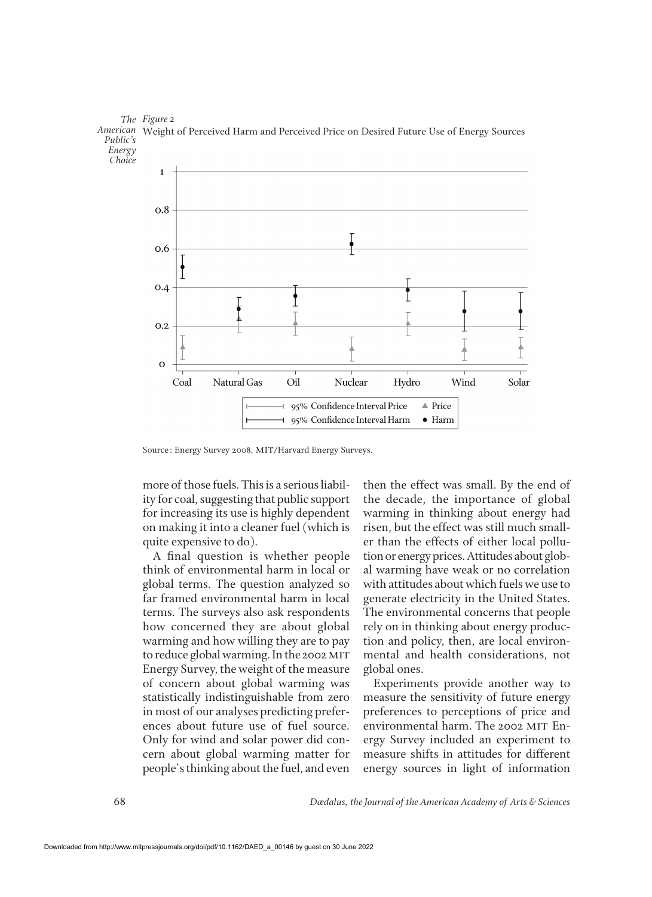

Source: Energy Survey 2008, MIT/Harvard Energy Surveys.

more of those fuels. This is a serious liability for coal, suggesting that public support for increasing its use is highly dependent on making it into a cleaner fuel (which is quite expensive to do).

A final question is whether people think of environmental harm in local or global terms. The question analyzed so far framed environmental harm in local terms. The surveys also ask respondents how concerned they are about global warming and how willing they are to pay to reduce global warming. In the 2002 MIT Energy Survey, the weight of the measure of concern about global warming was statistically indistinguishable from zero in most of our analyses predicting preferences about future use of fuel source. Only for wind and solar power did concern about global warming matter for people's thinking about the fuel, and even

then the effect was small. By the end of the decade, the importance of global warming in thinking about energy had risen, but the effect was still much smaller than the effects of either local pollution or energy prices. Attitudes about global warming have weak or no correlation with attitudes about which fuels we use to generate electricity in the United States. The environmental concerns that people rely on in thinking about energy production and policy, then, are local environmental and health considerations, not global ones.

Experiments provide another way to measure the sensitivity of future energy preferences to perceptions of price and environmental harm. The 2002 MIT Energy Survey included an experiment to measure shifts in attitudes for different energy sources in light of information

*Dædalus, the Journal of the American Academy of Arts & Sciences*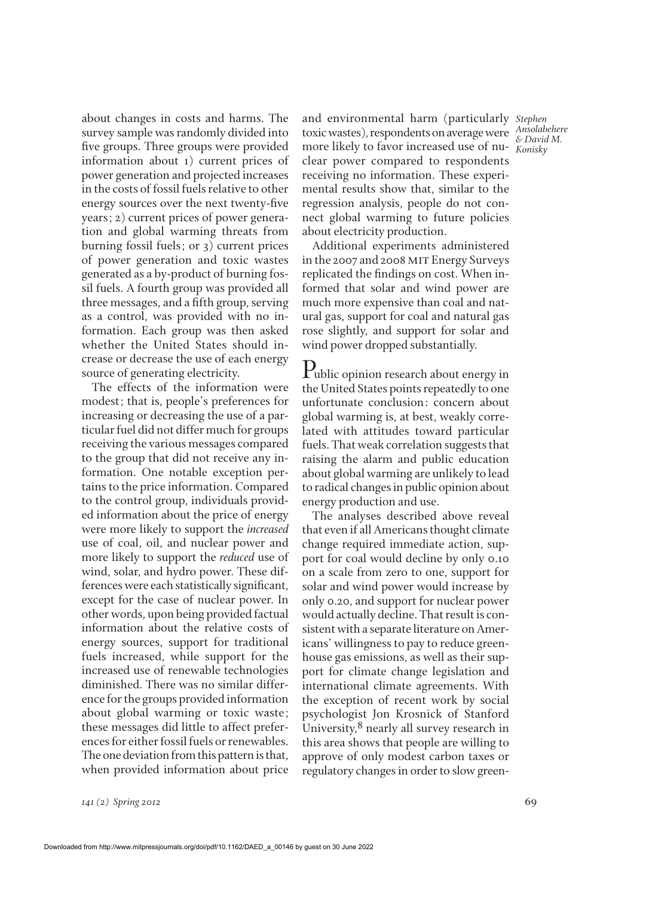about changes in costs and harms. The survey sample was randomly divided into five groups. Three groups were provided information about 1) current prices of power generation and projected increases in the costs of fossil fuels relative to other energy sources over the next twenty-five years; 2) current prices of power generation and global warming threats from burning fossil fuels; or 3) current prices of power generation and toxic wastes generated as a by-product of burning fossil fuels. A fourth group was provided all three messages, and a fifth group, serving as a control, was provided with no information. Each group was then asked whether the United States should increase or decrease the use of each energy source of generating electricity.

The effects of the information were modest; that is, people's preferences for increasing or decreasing the use of a particular fuel did not differ much for groups receiving the various messages compared to the group that did not receive any information. One notable exception pertains to the price information. Compared to the control group, individuals provided information about the price of energy were more likely to support the *increased* use of coal, oil, and nuclear power and more likely to support the *reduced* use of wind, solar, and hydro power. These differences were each statistically significant, except for the case of nuclear power. In other words, upon being provided factual information about the relative costs of energy sources, support for traditional fuels increased, while support for the increased use of renewable technologies diminished. There was no similar difference for the groups provided information about global warming or toxic waste; these messages did little to affect preferences for either fossil fuels or renewables. The one deviation from this pattern is that, when provided information about price

and environmental harm (particularly *Stephen* toxic wastes), respondents on average were *Ansolabehere* more likely to favor increased use of nu-*Konisky* clear power compared to respondents receiving no information. These experimental results show that, similar to the regression analysis, people do not connect global warming to future policies about electricity production.

*& David M.*

Additional experiments administered in the 2007 and 2008 mit Energy Surveys replicated the findings on cost. When informed that solar and wind power are much more expensive than coal and natural gas, support for coal and natural gas rose slightly, and support for solar and wind power dropped substantially.

Public opinion research about energy in the United States points repeatedly to one unfortunate conclusion: concern about global warming is, at best, weakly correlated with attitudes toward particular fuels. That weak correlation suggests that raising the alarm and public education about global warming are unlikely to lead to radical changes in public opinion about energy production and use.

The analyses described above reveal that even if all Americans thought climate change required immediate action, support for coal would decline by only 0.10 on a scale from zero to one, support for solar and wind power would increase by only 0.20, and support for nuclear power would actually decline. That result is consistent with a separate literature on Americans' willingness to pay to reduce greenhouse gas emissions, as well as their support for climate change legislation and international climate agreements. With the exception of recent work by social psychologist Jon Krosnick of Stanford University,<sup>8</sup> nearly all survey research in this area shows that people are willing to approve of only modest carbon taxes or regulatory changes in order to slow green-

*141 (2) Spring 2012*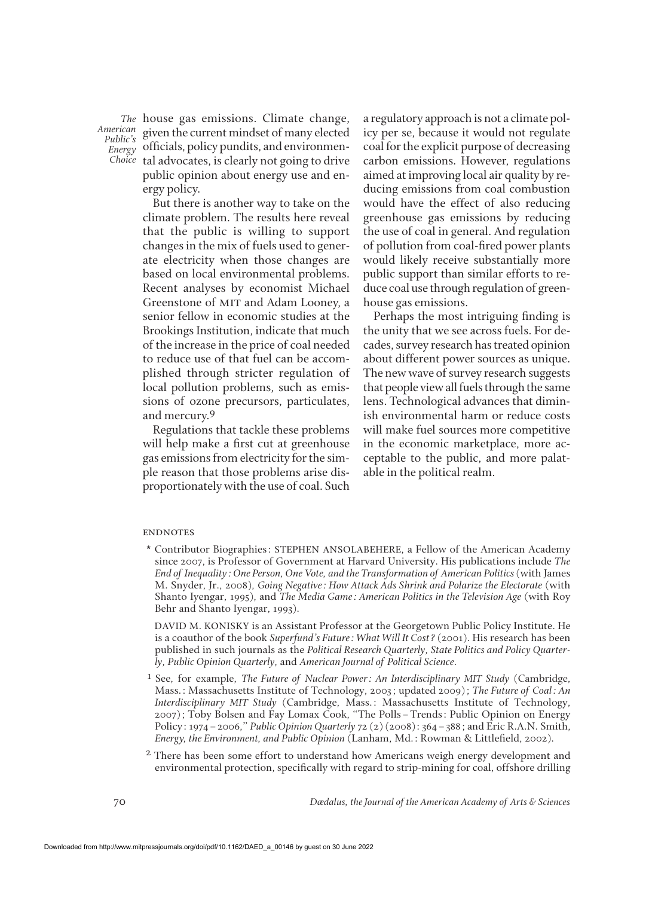*Public's*

The house gas emissions. Climate change, given the current mindset of many elected *American Energy* officials, policy pundits, and environmen-Choice tal advocates, is clearly not going to drive public opinion about energy use and energy policy.

> But there is another way to take on the climate problem. The results here reveal that the public is willing to support changes in the mix of fuels used to generate electricity when those changes are based on local environmental problems. Recent analyses by economist Michael Greenstone of MIT and Adam Looney, a senior fellow in economic studies at the Brookings Institution, indicate that much of the increase in the price of coal needed to reduce use of that fuel can be accomplished through stricter regulation of local pollution problems, such as emissions of ozone precursors, particulates, and mercury.9

> Regulations that tackle these problems will help make a first cut at greenhouse gas emissions from electricity for the simple reason that those problems arise disproportionately with the use of coal. Such

a regulatory approach is not a climate policy per se, because it would not regulate coal for the explicit purpose of decreasing carbon emissions. However, regulations aimed at improving local air quality by reducing emissions from coal combustion would have the effect of also reducing greenhouse gas emissions by reducing the use of coal in general. And regulation of pollution from coal-fired power plants would likely receive substantially more public support than similar efforts to reduce coal use through regulation of greenhouse gas emissions.

Perhaps the most intriguing finding is the unity that we see across fuels. For decades, survey research has treated opinion about different power sources as unique. The new wave of survey research suggests that people view all fuels through the same lens. Technological advances that diminish environmental harm or reduce costs will make fuel sources more competitive in the economic marketplace, more acceptable to the public, and more palatable in the political realm.

## endnotes

\* Contributor Biographies: STEPHEN ANSOLABEHERE, a Fellow of the American Academy since 2007, is Professor of Government at Harvard University. His publications include *The End of Inequality: One Person, One Vote, and the Transformation of American Politics* (with James M. Snyder, Jr., 2008), *Going Negative: How Attack Ads Shrink and Polarize the Electorate* (with Shanto Iyengar, 1995), and *The Media Game: American Politics in the Television Age* (with Roy Behr and Shanto Iyengar, 1993).

DAVID M. KONISKY is an Assistant Professor at the Georgetown Public Policy Institute. He is a coauthor of the book *Superfund's Future: What Will It Cost?* (2001). His research has been published in such journals as the *Political Research Quarterly*, *State Politics and Policy Quarterly*, *Public Opinion Quarterly*, and *American Journal of Political Science*.

- 1 See, for example, *The Future of Nuclear Power: An Interdisciplinary MIT Study* (Cambridge, Mass.: Massachusetts Institute of Technology, 2003; updated 2009); *The Future of Coal: An Interdisciplinary MIT Study* (Cambridge, Mass.: Massachusetts Institute of Technology, 2007); Toby Bolsen and Fay Lomax Cook, "The Polls–Trends: Public Opinion on Energy Policy: 1974–2006," *Public Opinion Quarterly* 72 (2) (2008): 364–388; and Eric R.A.N. Smith, *Energy, the Environment, and Public Opinion* (Lanham, Md.: Rowman & Littlefield, 2002).
- $^{\rm 2}$  There has been some effort to understand how Americans weigh energy development and environmental protection, specifically with regard to strip-mining for coal, offshore drilling